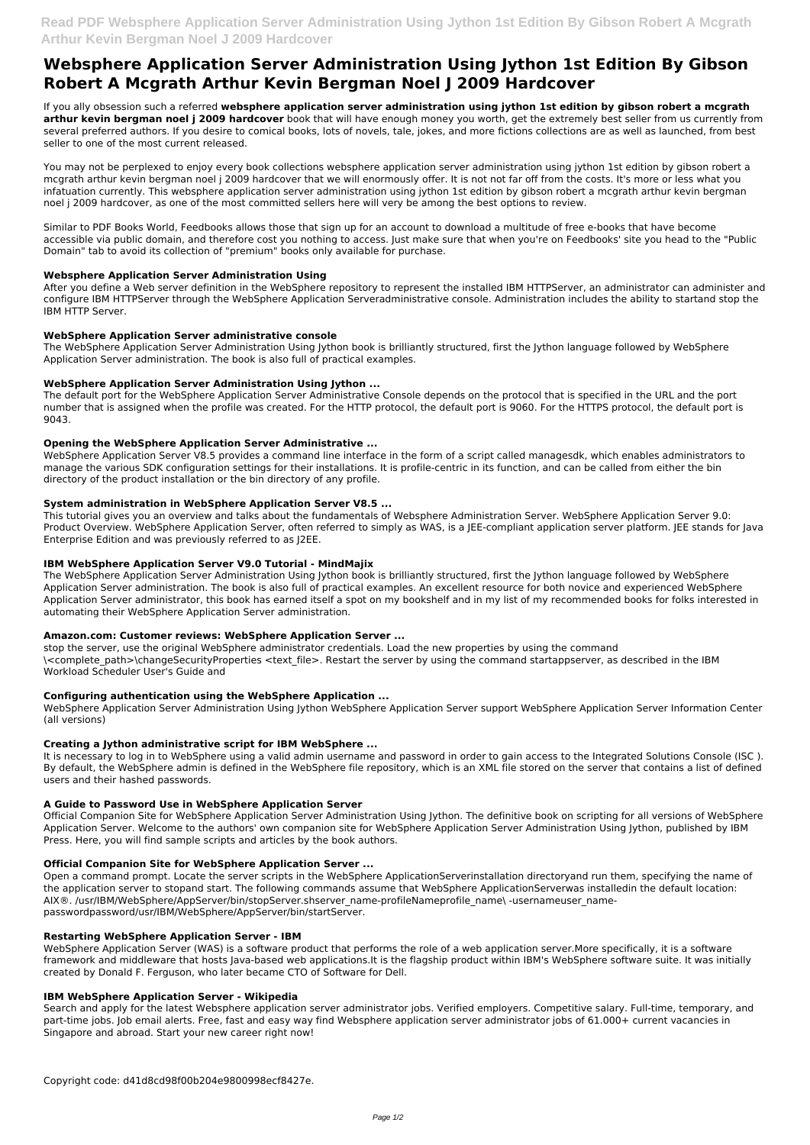# **Websphere Application Server Administration Using Jython 1st Edition By Gibson Robert A Mcgrath Arthur Kevin Bergman Noel J 2009 Hardcover**

If you ally obsession such a referred **websphere application server administration using jython 1st edition by gibson robert a mcgrath arthur kevin bergman noel j 2009 hardcover** book that will have enough money you worth, get the extremely best seller from us currently from several preferred authors. If you desire to comical books, lots of novels, tale, jokes, and more fictions collections are as well as launched, from best seller to one of the most current released.

You may not be perplexed to enjoy every book collections websphere application server administration using jython 1st edition by gibson robert a mcgrath arthur kevin bergman noel j 2009 hardcover that we will enormously offer. It is not not far off from the costs. It's more or less what you infatuation currently. This websphere application server administration using jython 1st edition by gibson robert a mcgrath arthur kevin bergman noel j 2009 hardcover, as one of the most committed sellers here will very be among the best options to review.

Similar to PDF Books World, Feedbooks allows those that sign up for an account to download a multitude of free e-books that have become accessible via public domain, and therefore cost you nothing to access. Just make sure that when you're on Feedbooks' site you head to the "Public Domain" tab to avoid its collection of "premium" books only available for purchase.

#### **Websphere Application Server Administration Using**

After you define a Web server definition in the WebSphere repository to represent the installed IBM HTTPServer, an administrator can administer and configure IBM HTTPServer through the WebSphere Application Serveradministrative console. Administration includes the ability to startand stop the IBM HTTP Server.

#### **WebSphere Application Server administrative console**

The WebSphere Application Server Administration Using Jython book is brilliantly structured, first the Jython language followed by WebSphere Application Server administration. The book is also full of practical examples.

#### **WebSphere Application Server Administration Using Jython ...**

The default port for the WebSphere Application Server Administrative Console depends on the protocol that is specified in the URL and the port number that is assigned when the profile was created. For the HTTP protocol, the default port is 9060. For the HTTPS protocol, the default port is 9043.

# **Opening the WebSphere Application Server Administrative ...**

WebSphere Application Server V8.5 provides a command line interface in the form of a script called managesdk, which enables administrators to manage the various SDK configuration settings for their installations. It is profile-centric in its function, and can be called from either the bin directory of the product installation or the bin directory of any profile.

Open a command prompt. Locate the server scripts in the WebSphere ApplicationServerinstallation directoryand run them, specifying the name of the application server to stopand start. The following commands assume that WebSphere ApplicationServerwas installedin the default location: AIX®. /usr/IBM/WebSphere/AppServer/bin/stopServer.shserver\_name-profileNameprofile\_name\ -usernameuser\_namepasswordpassword/usr/IBM/WebSphere/AppServer/bin/startServer.

#### **System administration in WebSphere Application Server V8.5 ...**

This tutorial gives you an overview and talks about the fundamentals of Websphere Administration Server. WebSphere Application Server 9.0: Product Overview. WebSphere Application Server, often referred to simply as WAS, is a JEE-compliant application server platform. JEE stands for Java Enterprise Edition and was previously referred to as J2EE.

# **IBM WebSphere Application Server V9.0 Tutorial - MindMajix**

The WebSphere Application Server Administration Using Jython book is brilliantly structured, first the Jython language followed by WebSphere Application Server administration. The book is also full of practical examples. An excellent resource for both novice and experienced WebSphere Application Server administrator, this book has earned itself a spot on my bookshelf and in my list of my recommended books for folks interested in automating their WebSphere Application Server administration.

# **Amazon.com: Customer reviews: WebSphere Application Server ...**

stop the server, use the original WebSphere administrator credentials. Load the new properties by using the command \<complete\_path>\changeSecurityProperties <text\_file>. Restart the server by using the command startappserver, as described in the IBM Workload Scheduler User's Guide and

# **Configuring authentication using the WebSphere Application ...**

WebSphere Application Server Administration Using Jython WebSphere Application Server support WebSphere Application Server Information Center (all versions)

# **Creating a Jython administrative script for IBM WebSphere ...**

It is necessary to log in to WebSphere using a valid admin username and password in order to gain access to the Integrated Solutions Console (ISC ). By default, the WebSphere admin is defined in the WebSphere file repository, which is an XML file stored on the server that contains a list of defined users and their hashed passwords.

# **A Guide to Password Use in WebSphere Application Server**

Official Companion Site for WebSphere Application Server Administration Using Jython. The definitive book on scripting for all versions of WebSphere Application Server. Welcome to the authors' own companion site for WebSphere Application Server Administration Using Jython, published by IBM Press. Here, you will find sample scripts and articles by the book authors.

#### **Official Companion Site for WebSphere Application Server ...**

#### **Restarting WebSphere Application Server - IBM**

WebSphere Application Server (WAS) is a software product that performs the role of a web application server.More specifically, it is a software framework and middleware that hosts Java-based web applications.It is the flagship product within IBM's WebSphere software suite. It was initially created by Donald F. Ferguson, who later became CTO of Software for Dell.

#### **IBM WebSphere Application Server - Wikipedia**

Search and apply for the latest Websphere application server administrator jobs. Verified employers. Competitive salary. Full-time, temporary, and part-time jobs. Job email alerts. Free, fast and easy way find Websphere application server administrator jobs of 61.000+ current vacancies in Singapore and abroad. Start your new career right now!

Copyright code: d41d8cd98f00b204e9800998ecf8427e.